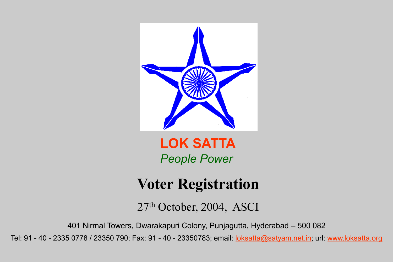

LOK SATTA *People Power*

# Voter Registration

27th October, 2004, ASCI

401 Nirmal Towers, Dwarakapuri Colony, Punjagutta, Hyderabad – 500 082

Tel: 91 - 40 - 2335 0778 / 23350 790; Fax: 91 - 40 - 23350783; email: [loksatta@satyam.net.in;](mailto:loksatta@satyam.net.in) url: [www.loksatta.org](http://www.loksatta.org/)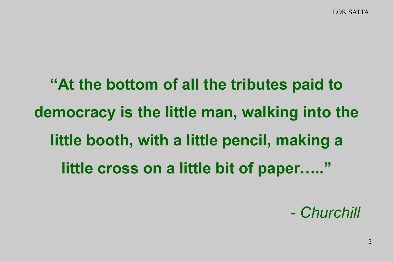LOK SATTA

"At the bottom of all the tributes paid to democracy is the little man, walking into the little booth, with a little pencil, making a little cross on a little bit of paper....."

*- Churchill*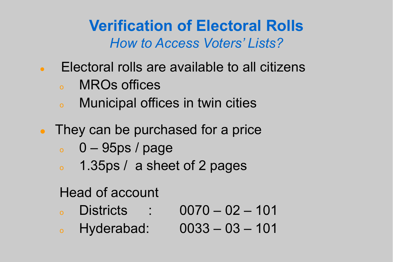Verification of Electoral Rolls *How to Access Voters' Lists?*

- Electoral rolls are available to all citizens
	- <sup>o</sup> MROs offices
	- <sup>o</sup> Municipal offices in twin cities
- They can be purchased for a price
	- $\degree$  0 95ps / page
	- <sup>o</sup> 1.35ps / a sheet of 2 pages

## Head of account

- <sup>o</sup> Districts : 0070 02 101
- <sup>o</sup> Hyderabad: 0033 03 101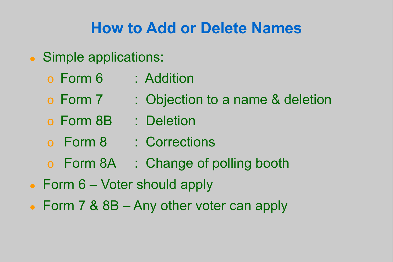## How to Add or Delete Names

- Simple applications:
	- o Form 6 : Addition
	-
	- o Form 7 : Objection to a name & deletion
	- o Form 8B : Deletion
	- o Form 8 : Corrections
	- o Form 8A : Change of polling booth
- Form 6 Voter should apply
- Form 7 & 8B Any other voter can apply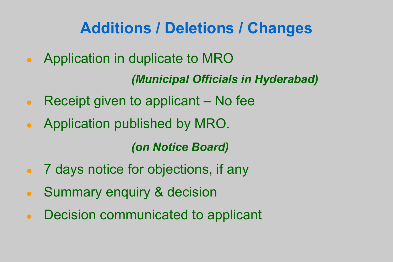# Additions / Deletions / Changes

Application in duplicate to MRO

*(Municipal Officials in Hyderabad)*

- Receipt given to applicant  $-$  No fee
- Application published by MRO.

*(on Notice Board)*

- 7 days notice for objections, if any
- Summary enquiry & decision
- Decision communicated to applicant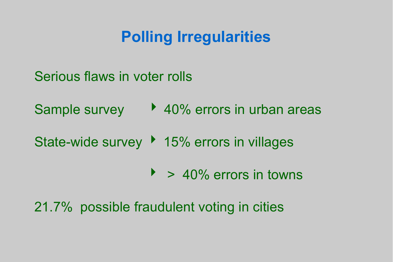## Polling Irregularities

- Serious flaws in voter rolls
- Sample survey 20% errors in urban areas
- State-wide survey ▶ 15% errors in villages
	- $\rightarrow$  40% errors in towns

## 21.7% possible fraudulent voting in cities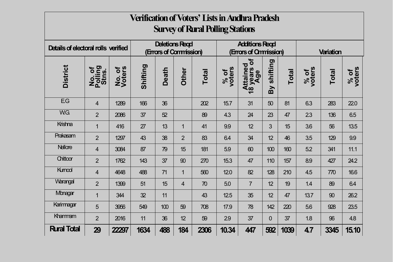| <b>Verification of Voters' Lists in Andhra Pradesh</b> |                            |                  |                                                 |              |                |                                                |                |                                               |                |              |                |              |                |
|--------------------------------------------------------|----------------------------|------------------|-------------------------------------------------|--------------|----------------|------------------------------------------------|----------------|-----------------------------------------------|----------------|--------------|----------------|--------------|----------------|
| <b>Survey of Rural Polling Stations</b>                |                            |                  |                                                 |              |                |                                                |                |                                               |                |              |                |              |                |
| Details of electoral rolls verified                    |                            |                  | <b>Deletions Regd</b><br>(Errars of Canmission) |              |                | <b>Additions Regd</b><br>(Errars of Omnission) |                |                                               | Variation      |              |                |              |                |
| <b>District</b>                                        | No. of<br>Polling<br>Stns. | No. of<br>Voters | Shifting                                        | <b>Death</b> | Other          | <b>Total</b>                                   | % of<br>voters | $\mathbf{P}$<br>Attained<br>18 years o<br>Age | shifting<br>By | <b>Total</b> | % of<br>voters | <b>Total</b> | % of<br>voters |
| EG                                                     | $\overline{4}$             | 1289             | 166                                             | 36           |                | 202                                            | 15.7           | 31                                            | 50             | 81           | 6.3            | 283          | 22.0           |
| W.G.                                                   | $\overline{2}$             | 2086             | 37                                              | 52           |                | 89                                             | 4.3            | 24                                            | 23             | 47           | 23             | 136          | 6.5            |
| Krishna                                                | $\mathbf{1}$               | 416              | 27                                              | 13           | $\mathbf{1}$   | 41                                             | 9.9            | 12                                            | 3              | 15           | 3.6            | 56           | 13.5           |
| Prakasam                                               | $\overline{2}$             | 1297             | 43                                              | 38           | $\overline{2}$ | 83                                             | 6.4            | 34                                            | 12             | 46           | 3.5            | 129          | 9.9            |
| <b>Nellore</b>                                         | 4                          | 3084             | 87                                              | 79           | 15             | 181                                            | 5.9            | 60                                            | 100            | 160          | 5.2            | 341          | 11.1           |
| Chittoor                                               | $\overline{2}$             | 1762             | 143                                             | 37           | 90             | 270                                            | 15.3           | 47                                            | 110            | 157          | 8.9            | 427          | 24.2           |
| Kumool                                                 | 4                          | 4648             | 488                                             | 71           | $\mathbf{1}$   | 560                                            | 12.0           | 82                                            | 128            | 210          | 4.5            | 770          | 16.6           |
| Warangal                                               | $\overline{2}$             | 1399             | 51                                              | 15           | $\overline{4}$ | 70                                             | 5.0            | $\overline{7}$                                | 12             | 19           | 1.4            | 89           | 6.4            |
| Mbnagar                                                | $\mathbf{1}$               | 344              | 32                                              | 11           |                | 43                                             | 12.5           | 35                                            | 12             | 47           | 13.7           | 90           | 26.2           |
| Karimagar                                              | 5                          | 3956             | 549                                             | 100          | 59             | 708                                            | 17.9           | 78                                            | 142            | 220          | 5.6            | 928          | 23.5           |
| Khammam                                                | $\overline{2}$             | 2016             | 11                                              | 36           | 12             | 59                                             | 29             | 37                                            | 0              | 37           | 1.8            | 96           | 4.8            |
| <b>Rural Total</b>                                     | 29                         | 22297            | 1634                                            | 488          | 184            | 2306                                           | 10.34          | 447                                           | 592            | 1039         | 4.7            | 3345         | 15.10          |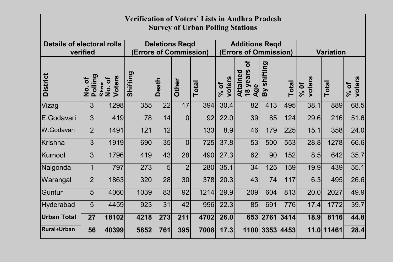| <b>Verification of Voters' Lists in Andhra Pradesh</b> |                                                         |                       |                        |              |                |                       |                  |                                                |                  |           |                  |            |                  |
|--------------------------------------------------------|---------------------------------------------------------|-----------------------|------------------------|--------------|----------------|-----------------------|------------------|------------------------------------------------|------------------|-----------|------------------|------------|------------------|
| <b>Survey of Urban Polling Stations</b>                |                                                         |                       |                        |              |                |                       |                  |                                                |                  |           |                  |            |                  |
| <b>Details of electoral rolls</b>                      |                                                         | <b>Deletions Regd</b> |                        |              |                | <b>Additions Regd</b> |                  |                                                |                  |           |                  |            |                  |
|                                                        | verified                                                |                       | (Errors of Commission) |              |                | (Errors of Ommission) |                  |                                                | <b>Variation</b> |           |                  |            |                  |
| <b>District</b>                                        | Polling<br>$\overline{\sigma}$<br>Stne<br>$\frac{1}{2}$ | No. of<br>Voters      | Shifting               | <b>Death</b> | Other          | <b>Total</b>          | voters<br>$%$ of | Ⴆ<br>years<br>Attained<br>Age<br>$\frac{8}{1}$ | shifting<br>Вy   | Total     | voters<br>$%$ Of | Total      | voters<br>$%$ of |
| Vizag                                                  | 3                                                       | 1298                  | 355                    | 22           | 17             | 394                   | 30.4             | 82                                             | 413              | 495       | 38.1             | 889        | 68.5             |
| E.Godavari                                             | 3                                                       | 419                   | 78                     | 14           | $\overline{0}$ | 92                    | 22.0             | 39                                             | 85               | 124       | 29.6             | 216        | 51.6             |
| W.Godavari                                             | $\overline{2}$                                          | 1491                  | 121                    | 12           |                | 133                   | 8.9              | 46                                             | 179              | 225       | 15.1             | 358        | 24.0             |
| Krishna                                                | 3                                                       | 1919                  | 690                    | 35           | $\overline{0}$ | 725                   | 37.8             | 53                                             | 500              | 553       | 28.8             | 1278       | 66.6             |
| Kurnool                                                | $\overline{3}$                                          | 1796                  | 419                    | 43           | 28             | 490                   | 27.3             | 62                                             | 90               | 152       | 8.5              | 642        | 35.7             |
| Nalgonda                                               | $\mathbf 1$                                             | 797                   | 273                    | 5            | $\overline{2}$ | 280                   | 35.1             | 34                                             | 125              | 159       | 19.9             | 439        | 55.1             |
| Warangal                                               | $\overline{2}$                                          | 1863                  | 320                    | 28           | 30             | 378                   | 20.3             | 43                                             | 74               | 117       | 6.3              | 495        | 26.6             |
| Guntur                                                 | 5                                                       | 4060                  | 1039                   | 83           | 92             | 1214                  | 29.9             | 209                                            | 604              | 813       | 20.0             | 2027       | 49.9             |
| <b>Hyderabad</b>                                       | 5                                                       | 4459                  | 923                    | 31           | 42             | 996                   | 22.3             | 85                                             | 691              | 776       | 17.4             | 1772       | 39.7             |
| Urban Total                                            | 27                                                      | 18102                 | 4218                   | 273          | 211            | 4702                  | 26.0             | 653                                            | 2761             | 3414      | 18.9             | 8116       | 44.8             |
| <b>Rural+Urban</b>                                     | 56                                                      | 40399                 | 5852                   | 761          | 395            | 7008                  | 17.3             | 1100                                           |                  | 3353 4453 |                  | 11.0 11461 | 28.4             |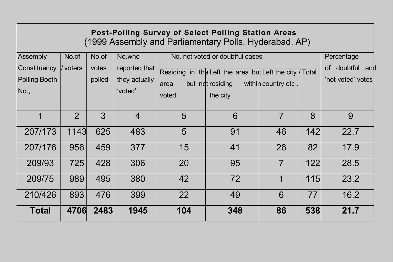| <b>Post-Polling Survey of Select Polling Station Areas</b><br>(1999 Assembly and Parliamentary Polls, Hyderabad, AP) |                   |                          |                                                     |                                                                                                                                 |                                                       |                |     |      |  |  |
|----------------------------------------------------------------------------------------------------------------------|-------------------|--------------------------|-----------------------------------------------------|---------------------------------------------------------------------------------------------------------------------------------|-------------------------------------------------------|----------------|-----|------|--|--|
| Assembly<br>Constituency<br><b>Polling Booth</b><br>No.,                                                             | No.of<br>/ voters | No.of<br>votes<br>polled | No.who<br>reported that<br>they actually<br>'voted' | No. not voted or doubtful cases<br>Residing in the Left the area but Left the city / Total<br>but not residing<br>area<br>voted | Percentage<br>doubtful and<br>0f<br>'not voted' votes |                |     |      |  |  |
| 1                                                                                                                    | $\overline{2}$    | $\overline{3}$           | $\overline{4}$                                      | 5                                                                                                                               | 6                                                     | $\overline{7}$ | 8   | 9    |  |  |
| 207/173                                                                                                              | 1143              | 625                      | 483                                                 | 5                                                                                                                               | 91                                                    | 46             | 142 | 22.7 |  |  |
| 207/176                                                                                                              | 956               | 459                      | 377                                                 | 15                                                                                                                              | 41                                                    | 26             | 82  | 17.9 |  |  |
| 209/93                                                                                                               | 725               | 428                      | 306                                                 | 20                                                                                                                              | 95                                                    | $\overline{7}$ | 122 | 28.5 |  |  |
| 209/75                                                                                                               | 989               | 495                      | 380                                                 | 42                                                                                                                              | 72                                                    | 1              | 115 | 23.2 |  |  |
| 210/426                                                                                                              | 893               | 476                      | 399                                                 | 22                                                                                                                              | 49                                                    | 6              | 77  | 16.2 |  |  |
| <b>Total</b>                                                                                                         | 4706              | 2483                     | 1945                                                | 104                                                                                                                             | 348                                                   | 86             | 538 | 21.7 |  |  |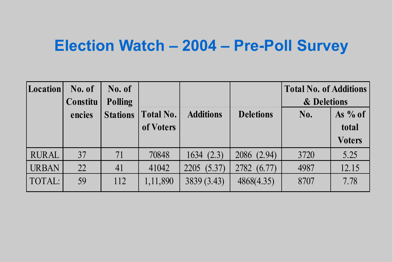## Election Watch – 2004 – Pre-Poll Survey

| <b>Location</b> | No. of   | No. of          |                  |                  |                  | <b>Total No. of Additions</b> |               |
|-----------------|----------|-----------------|------------------|------------------|------------------|-------------------------------|---------------|
|                 | Constitu | <b>Polling</b>  |                  |                  |                  | & Deletions                   |               |
|                 | encies   | <b>Stations</b> | <b>Total No.</b> | <b>Additions</b> | <b>Deletions</b> | No.                           | As $%$ of     |
|                 |          |                 | of Voters        |                  |                  |                               | total         |
|                 |          |                 |                  |                  |                  |                               | <b>Voters</b> |
| <b>RURAL</b>    | 37       | 71              | 70848            | 1634(2.3)        | 2086 (2.94)      | 3720                          | 5.25          |
| <b>URBAN</b>    | 22       | 41              | 41042            | 2205 (5.37)      | 2782 (6.77)      | 4987                          | 12.15         |
| TOTAL:          | 59       | 112             | 1,11,890         | 3839 (3.43)      | 4868(4.35)       | 8707                          | 7.78          |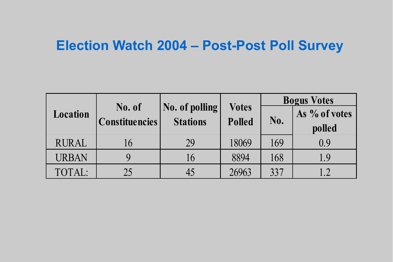## Election Watch 2004 – Post-Post Poll Survey

|              |                                 |                                   |                               | <b>Bogus Votes</b> |                         |  |  |
|--------------|---------------------------------|-----------------------------------|-------------------------------|--------------------|-------------------------|--|--|
| Location     | No. of<br><b>Constituencies</b> | No. of polling<br><b>Stations</b> | <b>Votes</b><br><b>Polled</b> | No.                | As % of votes<br>polled |  |  |
| <b>RURAL</b> | l b                             | 29                                | 18069                         | 169                | 0.9                     |  |  |
| <b>URBAN</b> |                                 | 16                                | 8894                          | 168                | 1.9                     |  |  |
| TOTAL:       | 25                              |                                   | 26963                         | 337                |                         |  |  |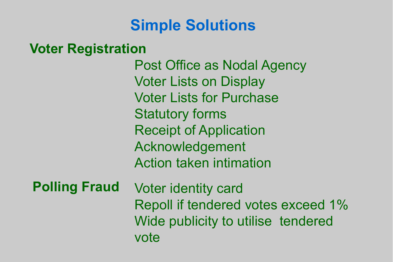## Simple Solutions

#### Voter Registration

Post Office as Nodal Agency Voter Lists on Display Voter Lists for Purchase Statutory forms Receipt of Application Acknowledgement Action taken intimation Voter identity card Repoll if tendered votes exceed 1% Wide publicity to utilise tendered vote Polling Fraud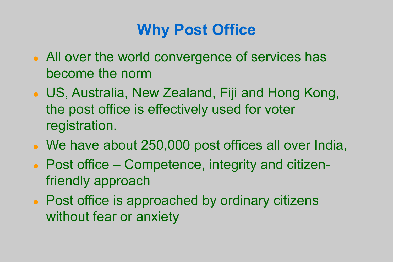# Why Post Office

- All over the world convergence of services has become the norm
- US, Australia, New Zealand, Fiji and Hong Kong, the post office is effectively used for voter registration.
- We have about 250,000 post offices all over India,
- Post office Competence, integrity and citizenfriendly approach
- Post office is approached by ordinary citizens without fear or anxiety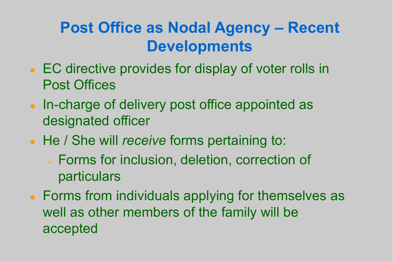# Post Office as Nodal Agency – Recent **Developments**

- EC directive provides for display of voter rolls in Post Offices
- In-charge of delivery post office appointed as designated officer
- He / She will *receive* forms pertaining to:
	- Forms for inclusion, deletion, correction of particulars
- Forms from individuals applying for themselves as well as other members of the family will be accepted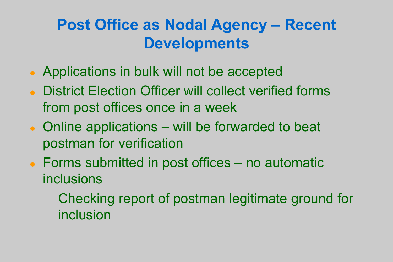# Post Office as Nodal Agency – Recent Developments

- Applications in bulk will not be accepted
- District Election Officer will collect verified forms from post offices once in a week
- Online applications will be forwarded to beat postman for verification
- Forms submitted in post offices no automatic inclusions
	- Checking report of postman legitimate ground for inclusion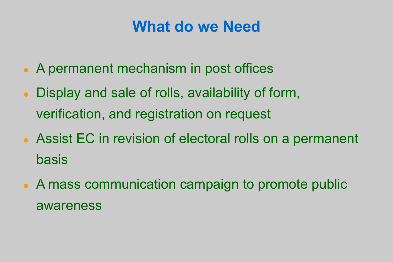## What do we Need

- A permanent mechanism in post offices
- Display and sale of rolls, availability of form, verification, and registration on request
- Assist EC in revision of electoral rolls on a permanent basis
- A mass communication campaign to promote public awareness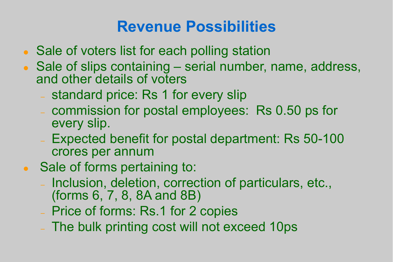## Revenue Possibilities

- Sale of voters list for each polling station
- Sale of slips containing serial number, name, address, and other details of voters
	- standard price: Rs 1 for every slip
	- commission for postal employees: Rs 0.50 ps for every slip.
	- Expected benefit for postal department: Rs 50-100 crores per annum
- Sale of forms pertaining to:
	- Inclusion, deletion, correction of particulars, etc., (forms 6, 7, 8, 8A and 8B)
	- Price of forms: Rs.1 for 2 copies
	- The bulk printing cost will not exceed 10ps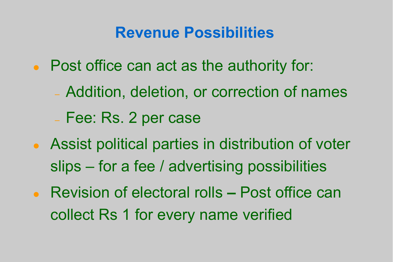## Revenue Possibilities

- Post office can act as the authority for:
	- Addition, deletion, or correction of names
	- Fee: Rs. 2 per case
- Assist political parties in distribution of voter slips – for a fee / advertising possibilities
- Revision of electoral rolls Post office can collect Rs 1 for every name verified